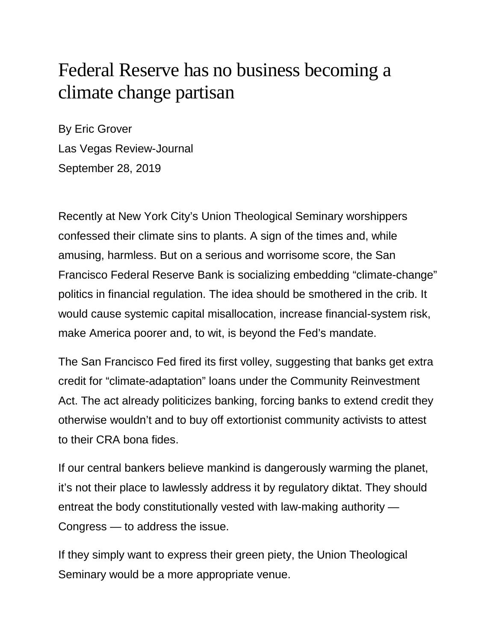## Federal Reserve has no business becoming a climate change partisan

By Eric Grover Las Vegas Review-Journal September 28, 2019

Recently at New York City's Union Theological Seminary worshippers confessed their climate sins to plants. A sign of the times and, while amusing, harmless. But on a serious and worrisome score, the San Francisco Federal Reserve Bank is socializing embedding "climate-change" politics in financial regulation. The idea should be smothered in the crib. It would cause systemic capital misallocation, increase financial-system risk, make America poorer and, to wit, is beyond the Fed's mandate.

The San Francisco Fed fired its first volley, suggesting that banks get extra credit for "climate-adaptation" loans under the Community Reinvestment Act. The act already politicizes banking, forcing banks to extend credit they otherwise wouldn't and to buy off extortionist community activists to attest to their CRA bona fides.

If our central bankers believe mankind is dangerously warming the planet, it's not their place to lawlessly address it by regulatory diktat. They should entreat the body constitutionally vested with law-making authority — Congress — to address the issue.

If they simply want to express their green piety, the Union Theological Seminary would be a more appropriate venue.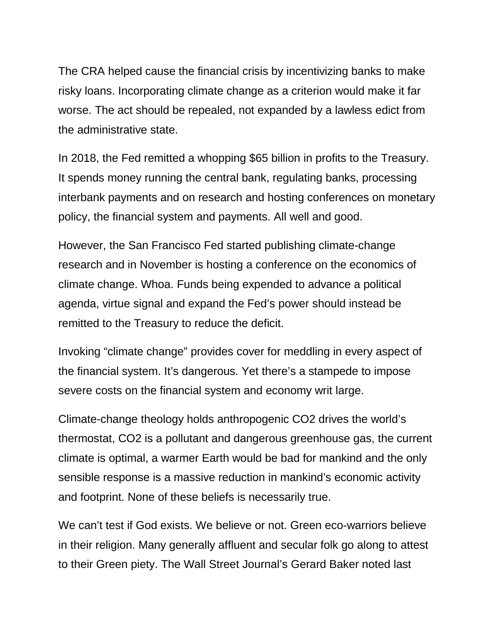The CRA helped cause the financial crisis by incentivizing banks to make risky loans. Incorporating climate change as a criterion would make it far worse. The act should be repealed, not expanded by a lawless edict from the administrative state.

In 2018, the Fed remitted a whopping \$65 billion in profits to the Treasury. It spends money running the central bank, regulating banks, processing interbank payments and on research and hosting conferences on monetary policy, the financial system and payments. All well and good.

However, the San Francisco Fed started publishing climate-change research and in November is hosting a conference on the economics of climate change. Whoa. Funds being expended to advance a political agenda, virtue signal and expand the Fed's power should instead be remitted to the Treasury to reduce the deficit.

Invoking "climate change" provides cover for meddling in every aspect of the financial system. It's dangerous. Yet there's a stampede to impose severe costs on the financial system and economy writ large.

Climate-change theology holds anthropogenic CO2 drives the world's thermostat, CO2 is a pollutant and dangerous greenhouse gas, the current climate is optimal, a warmer Earth would be bad for mankind and the only sensible response is a massive reduction in mankind's economic activity and footprint. None of these beliefs is necessarily true.

We can't test if God exists. We believe or not. Green eco-warriors believe in their religion. Many generally affluent and secular folk go along to attest to their Green piety. The Wall Street Journal's Gerard Baker noted last